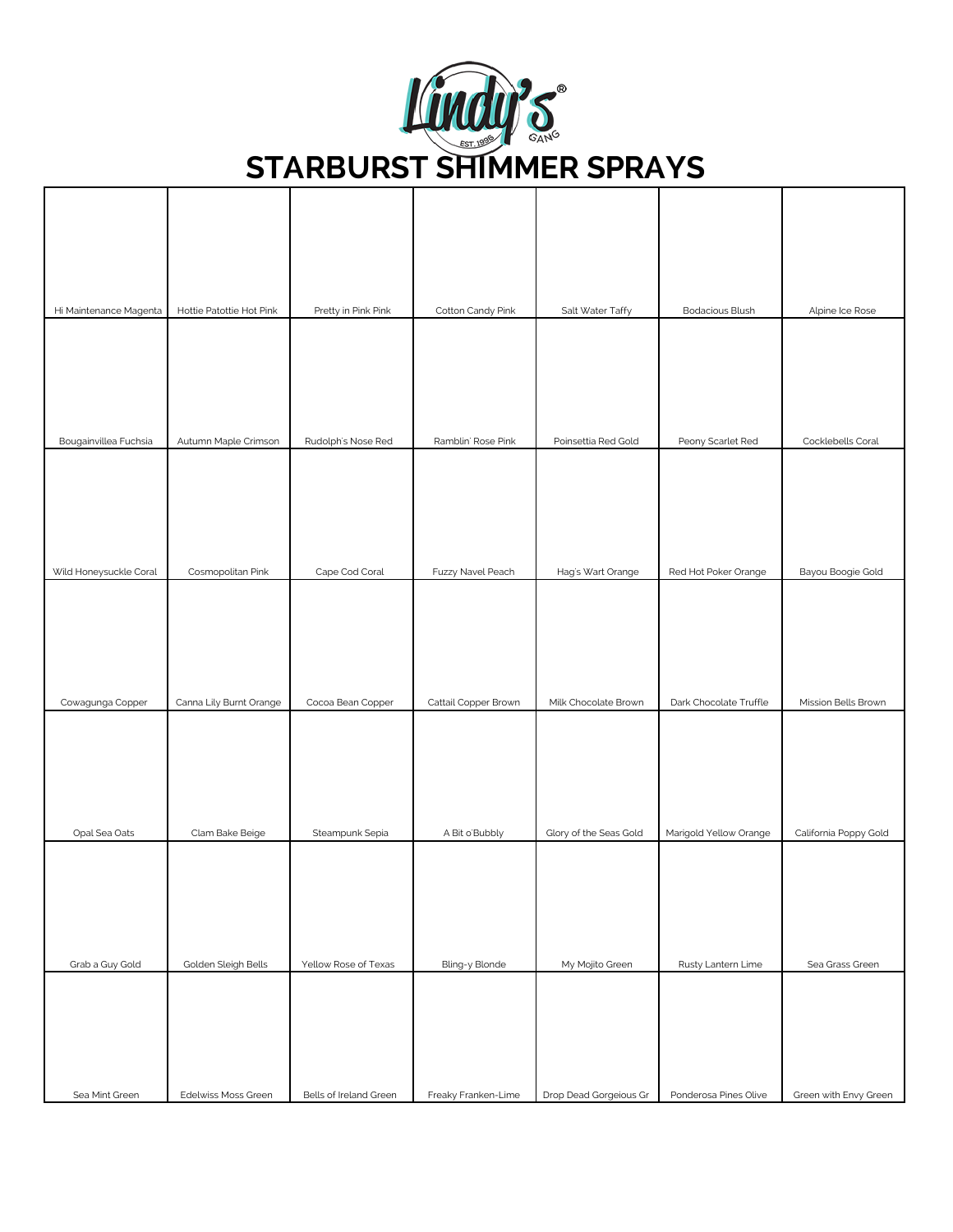

| Hi Maintenance Magenta | Hottie Patottie Hot Pink | Pretty in Pink Pink    | Cotton Candy Pink    | Salt Water Taffy       | Bodacious Blush        | Alpine Ice Rose       |
|------------------------|--------------------------|------------------------|----------------------|------------------------|------------------------|-----------------------|
|                        |                          |                        |                      |                        |                        |                       |
|                        |                          |                        |                      |                        |                        |                       |
|                        |                          |                        |                      |                        |                        |                       |
| Bougainvillea Fuchsia  | Autumn Maple Crimson     | Rudolph's Nose Red     | Ramblin' Rose Pink   | Poinsettia Red Gold    | Peony Scarlet Red      | Cocklebells Coral     |
|                        |                          |                        |                      |                        |                        |                       |
| Wild Honeysuckle Coral | Cosmopolitan Pink        | Cape Cod Coral         | Fuzzy Navel Peach    | Hag's Wart Orange      | Red Hot Poker Orange   | Bayou Boogie Gold     |
| Cowagunga Copper       | Canna Lily Burnt Orange  | Cocoa Bean Copper      | Cattail Copper Brown | Milk Chocolate Brown   | Dark Chocolate Truffle | Mission Bells Brown   |
|                        |                          |                        |                      |                        |                        |                       |
| Opal Sea Oats          | Clam Bake Beige          | Steampunk Sepia        | A Bit o'Bubbly       | Glory of the Seas Gold | Marigold Yellow Orange | California Poppy Gold |
|                        |                          |                        |                      |                        |                        |                       |
| Grab a Guy Gold        | Golden Sleigh Bells      | Yellow Rose of Texas   | Bling-y Blonde       | My Mojito Green        | Rusty Lantern Lime     | Sea Grass Green       |
| Sea Mint Green         | Edelwiss Moss Green      | Bells of Ireland Green | Freaky Franken-Lime  | Drop Dead Gorgeious Gr | Ponderosa Pines Olive  | Green with Envy Green |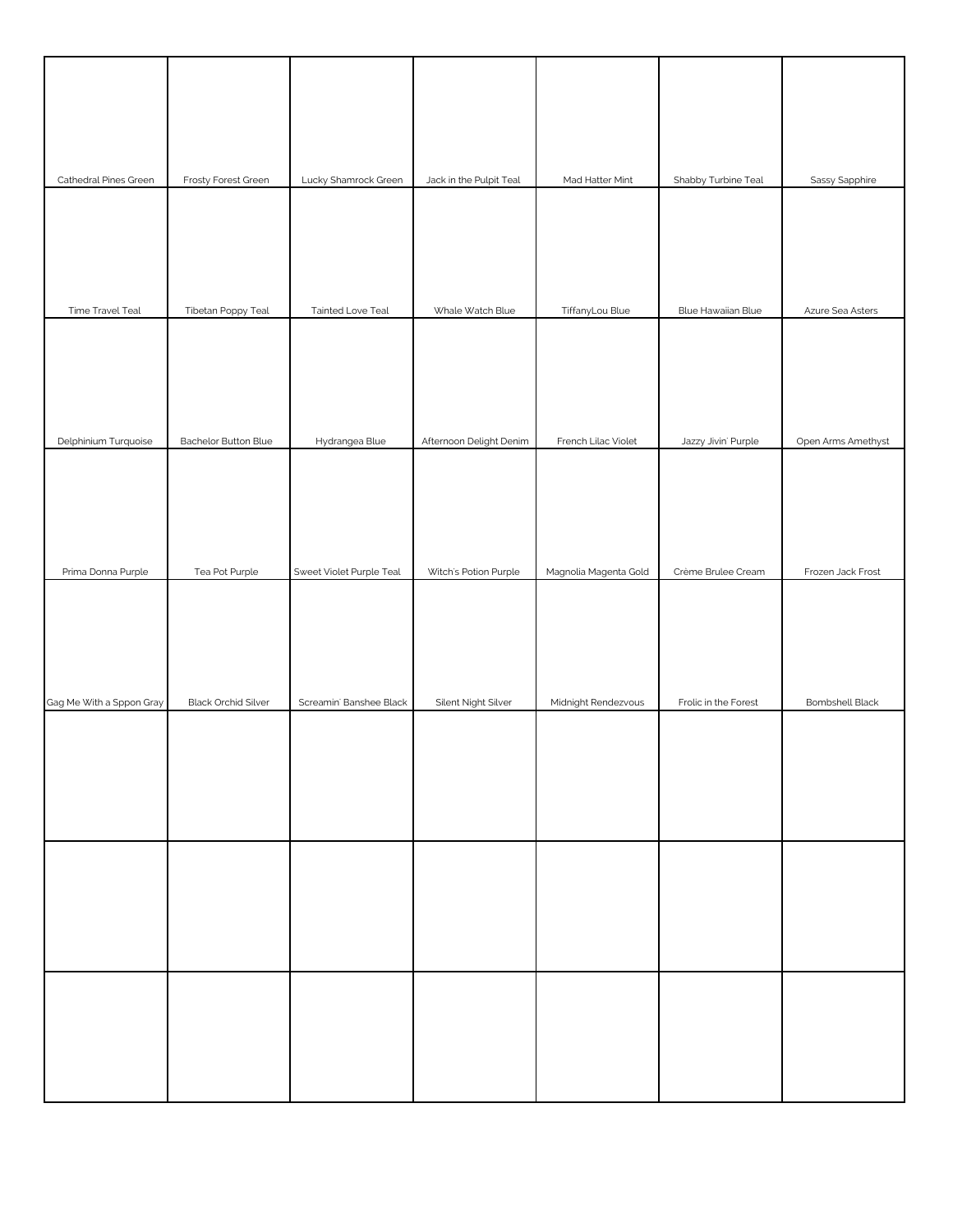| Cathedral Pines Green    | Frosty Forest Green        | Lucky Shamrock Green     | Jack in the Pulpit Teal | Mad Hatter Mint       | Shabby Turbine Teal  | Sassy Sapphire         |
|--------------------------|----------------------------|--------------------------|-------------------------|-----------------------|----------------------|------------------------|
|                          |                            |                          |                         |                       |                      |                        |
| Time Travel Teal         | Tibetan Poppy Teal         | Tainted Love Teal        | Whale Watch Blue        | TiffanyLou Blue       | Blue Hawaiian Blue   | Azure Sea Asters       |
|                          |                            |                          |                         |                       |                      |                        |
| Delphinium Turquoise     | Bachelor Button Blue       | Hydrangea Blue           | Afternoon Delight Denim | French Lilac Violet   | Jazzy Jivin' Purple  | Open Arms Amethyst     |
| Prima Donna Purple       | Tea Pot Purple             | Sweet Violet Purple Teal | Witch's Potion Purple   | Magnolia Magenta Gold | Crème Brulee Cream   | Frozen Jack Frost      |
|                          |                            |                          |                         |                       |                      |                        |
| Gag Me With a Sppon Gray | <b>Black Orchid Silver</b> | Screamin' Banshee Black  | Silent Night Silver     | Midnight Rendezvous   | Frolic in the Forest | <b>Bombshell Black</b> |
|                          |                            |                          |                         |                       |                      |                        |
|                          |                            |                          |                         |                       |                      |                        |
|                          |                            |                          |                         |                       |                      |                        |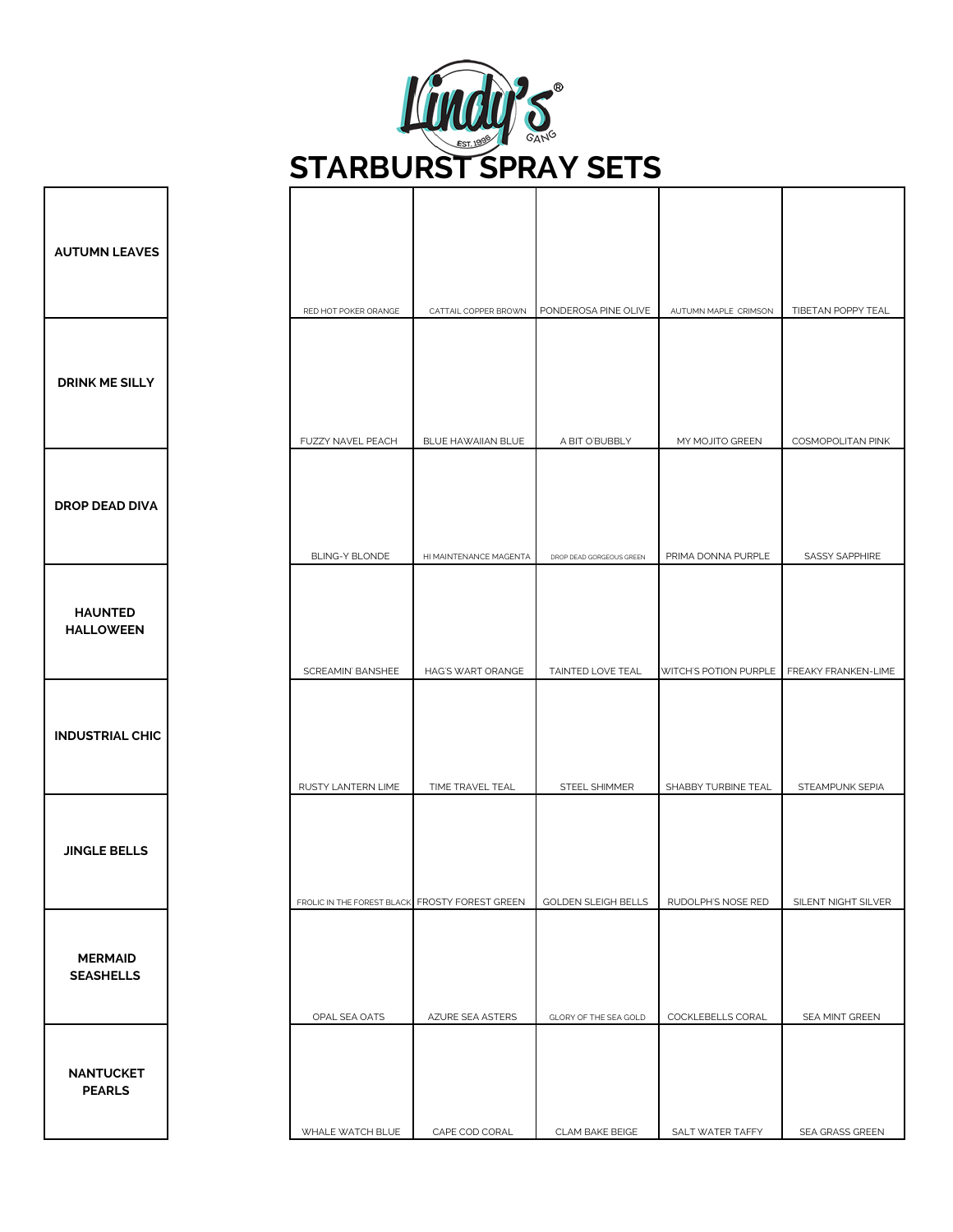

Г

| <b>AUTUMN LEAVES</b>               |                                                |                        |                            |                                           |                     |
|------------------------------------|------------------------------------------------|------------------------|----------------------------|-------------------------------------------|---------------------|
|                                    | RED HOT POKER ORANGE                           | CATTAIL COPPER BROWN   | PONDEROSA PINE OLIVE       | AUTUMN MAPLE CRIMSON                      | TIBETAN POPPY TEAL  |
| <b>DRINK ME SILLY</b>              |                                                |                        |                            |                                           |                     |
|                                    | FUZZY NAVEL PEACH                              | BLUE HAWAIIAN BLUE     | A BIT O'BUBBLY             | MY MOJITO GREEN                           | COSMOPOLITAN PINK   |
| <b>DROP DEAD DIVA</b>              |                                                |                        |                            |                                           |                     |
|                                    | BLING-Y BLONDE                                 | HI MAINTENANCE MAGENTA | DROP DEAD GORGEOUS GREEN   | PRIMA DONNA PURPLE                        | SASSY SAPPHIRE      |
| <b>HAUNTED</b><br><b>HALLOWEEN</b> | SCREAMIN' BANSHEE                              | HAG'S WART ORANGE      | TAINTED LOVE TEAL          | WITCH'S POTION PURPLE FREAKY FRANKEN-LIME |                     |
| <b>INDUSTRIAL CHIC</b>             | RUSTY LANTERN LIME                             | TIME TRAVEL TEAL       | STEEL SHIMMER              | SHABBY TURBINE TEAL                       | STEAMPUNK SEPIA     |
| <b>JINGLE BELLS</b>                | FROLIC IN THE FOREST BLACK FROSTY FOREST GREEN |                        | <b>GOLDEN SLEIGH BELLS</b> | RUDOLPH'S NOSE RED                        | SILENT NIGHT SILVER |
| <b>MERMAID</b><br><b>SEASHELLS</b> | OPAL SEA OATS                                  | AZURE SEA ASTERS       | GLORY OF THE SEA GOLD      | COCKLEBELLS CORAL                         | SEA MINT GREEN      |
| <b>NANTUCKET</b><br><b>PEARLS</b>  | WHALE WATCH BLUE                               | CAPE COD CORAL         | CLAM BAKE BEIGE            | SALT WATER TAFFY                          | SEA GRASS GREEN     |